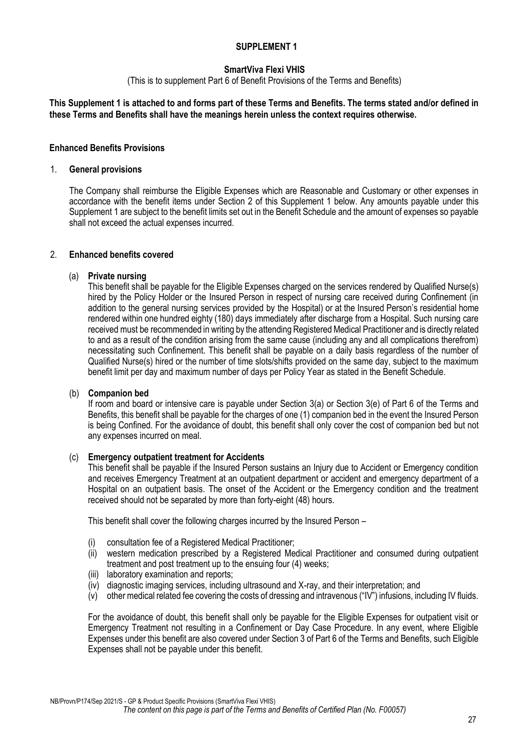# **SmartViva Flexi VHIS**

(This is to supplement Part 6 of Benefit Provisions of the Terms and Benefits)

#### **This Supplement 1 is attached to and forms part of these Terms and Benefits. The terms stated and/or defined in these Terms and Benefits shall have the meanings herein unless the context requires otherwise.**

#### **Enhanced Benefits Provisions**

#### 1. **General provisions**

The Company shall reimburse the Eligible Expenses which are Reasonable and Customary or other expenses in accordance with the benefit items under Section 2 of this Supplement 1 below. Any amounts payable under this Supplement 1 are subject to the benefit limits set out in the Benefit Schedule and the amount of expenses so payable shall not exceed the actual expenses incurred.

#### 2. **Enhanced benefits covered**

#### (a) **Private nursing**

This benefit shall be payable for the Eligible Expenses charged on the services rendered by Qualified Nurse(s) hired by the Policy Holder or the Insured Person in respect of nursing care received during Confinement (in addition to the general nursing services provided by the Hospital) or at the Insured Person's residential home rendered within one hundred eighty (180) days immediately after discharge from a Hospital. Such nursing care received must be recommended in writing by the attending Registered Medical Practitioner and is directly related to and as a result of the condition arising from the same cause (including any and all complications therefrom) necessitating such Confinement. This benefit shall be payable on a daily basis regardless of the number of Qualified Nurse(s) hired or the number of time slots/shifts provided on the same day, subject to the maximum benefit limit per day and maximum number of days per Policy Year as stated in the Benefit Schedule.

#### (b) **Companion bed**

If room and board or intensive care is payable under Section 3(a) or Section 3(e) of Part 6 of the Terms and Benefits, this benefit shall be payable for the charges of one (1) companion bed in the event the Insured Person is being Confined. For the avoidance of doubt, this benefit shall only cover the cost of companion bed but not any expenses incurred on meal.

#### (c) **Emergency outpatient treatment for Accidents**

This benefit shall be payable if the Insured Person sustains an Injury due to Accident or Emergency condition and receives Emergency Treatment at an outpatient department or accident and emergency department of a Hospital on an outpatient basis. The onset of the Accident or the Emergency condition and the treatment received should not be separated by more than forty-eight (48) hours.

This benefit shall cover the following charges incurred by the Insured Person –

- (i) consultation fee of a Registered Medical Practitioner;
- (ii) western medication prescribed by a Registered Medical Practitioner and consumed during outpatient treatment and post treatment up to the ensuing four (4) weeks;
- (iii) laboratory examination and reports;
- (iv) diagnostic imaging services, including ultrasound and X-ray, and their interpretation; and
- (v) other medical related fee covering the costs of dressing and intravenous ("IV") infusions, including IV fluids.

For the avoidance of doubt, this benefit shall only be payable for the Eligible Expenses for outpatient visit or Emergency Treatment not resulting in a Confinement or Day Case Procedure. In any event, where Eligible Expenses under this benefit are also covered under Section 3 of Part 6 of the Terms and Benefits, such Eligible Expenses shall not be payable under this benefit.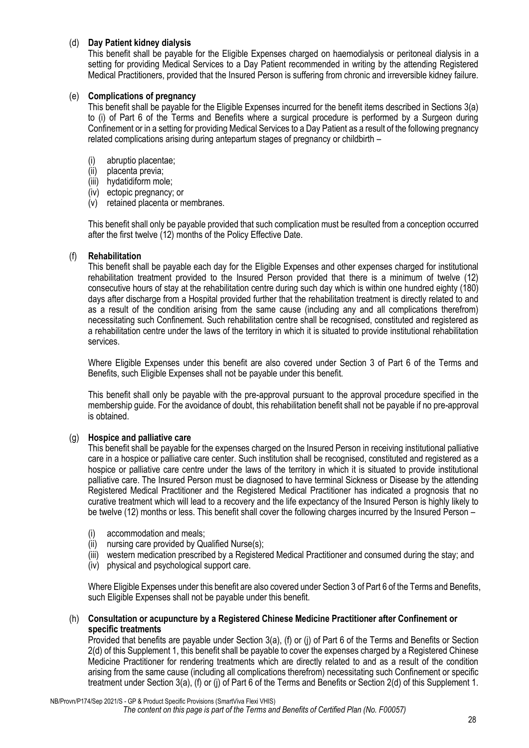# (d) **Day Patient kidney dialysis**

This benefit shall be payable for the Eligible Expenses charged on haemodialysis or peritoneal dialysis in a setting for providing Medical Services to a Day Patient recommended in writing by the attending Registered Medical Practitioners, provided that the Insured Person is suffering from chronic and irreversible kidney failure.

#### (e) **Complications of pregnancy**

This benefit shall be payable for the Eligible Expenses incurred for the benefit items described in Sections 3(a) to (i) of Part 6 of the Terms and Benefits where a surgical procedure is performed by a Surgeon during Confinement or in a setting for providing Medical Services to a Day Patient as a result of the following pregnancy related complications arising during antepartum stages of pregnancy or childbirth –

- (i) abruptio placentae;
- (ii) placenta previa;
- (iii) hydatidiform mole;
- (iv) ectopic pregnancy; or
- (v) retained placenta or membranes.

This benefit shall only be payable provided that such complication must be resulted from a conception occurred after the first twelve (12) months of the Policy Effective Date.

## (f) **Rehabilitation**

This benefit shall be payable each day for the Eligible Expenses and other expenses charged for institutional rehabilitation treatment provided to the Insured Person provided that there is a minimum of twelve (12) consecutive hours of stay at the rehabilitation centre during such day which is within one hundred eighty (180) days after discharge from a Hospital provided further that the rehabilitation treatment is directly related to and as a result of the condition arising from the same cause (including any and all complications therefrom) necessitating such Confinement. Such rehabilitation centre shall be recognised, constituted and registered as a rehabilitation centre under the laws of the territory in which it is situated to provide institutional rehabilitation services.

Where Eligible Expenses under this benefit are also covered under Section 3 of Part 6 of the Terms and Benefits, such Eligible Expenses shall not be payable under this benefit.

This benefit shall only be payable with the pre-approval pursuant to the approval procedure specified in the membership guide. For the avoidance of doubt, this rehabilitation benefit shall not be payable if no pre-approval is obtained.

#### (g) **Hospice and palliative care**

This benefit shall be payable for the expenses charged on the Insured Person in receiving institutional palliative care in a hospice or palliative care center. Such institution shall be recognised, constituted and registered as a hospice or palliative care centre under the laws of the territory in which it is situated to provide institutional palliative care. The Insured Person must be diagnosed to have terminal Sickness or Disease by the attending Registered Medical Practitioner and the Registered Medical Practitioner has indicated a prognosis that no curative treatment which will lead to a recovery and the life expectancy of the Insured Person is highly likely to be twelve (12) months or less. This benefit shall cover the following charges incurred by the Insured Person –

- (i) accommodation and meals;
- (ii) nursing care provided by Qualified Nurse(s);
- (iii) western medication prescribed by a Registered Medical Practitioner and consumed during the stay; and
- (iv) physical and psychological support care.

Where Eligible Expenses under this benefit are also covered under Section 3 of Part 6 of the Terms and Benefits, such Eligible Expenses shall not be payable under this benefit.

#### (h) **Consultation or acupuncture by a Registered Chinese Medicine Practitioner after Confinement or specific treatments**

Provided that benefits are payable under Section 3(a), (f) or (j) of Part 6 of the Terms and Benefits or Section 2(d) of this Supplement 1, this benefit shall be payable to cover the expenses charged by a Registered Chinese Medicine Practitioner for rendering treatments which are directly related to and as a result of the condition arising from the same cause (including all complications therefrom) necessitating such Confinement or specific treatment under Section 3(a), (f) or (j) of Part 6 of the Terms and Benefits or Section 2(d) of this Supplement 1.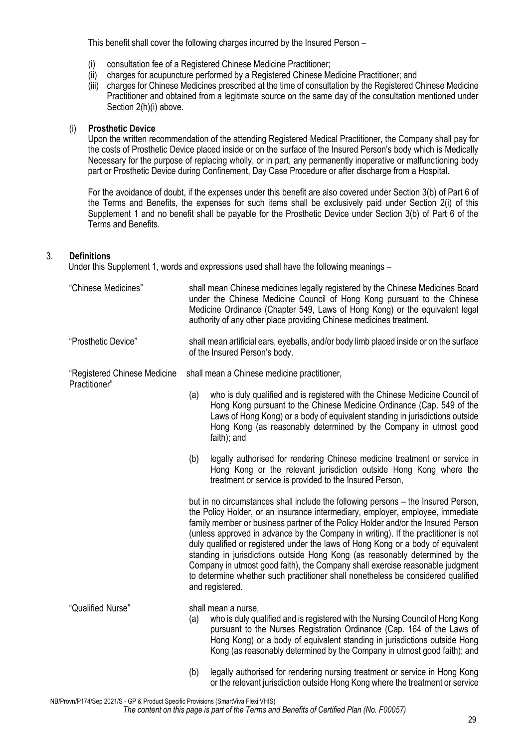This benefit shall cover the following charges incurred by the Insured Person –

- (i) consultation fee of a Registered Chinese Medicine Practitioner;
- (ii) charges for acupuncture performed by a Registered Chinese Medicine Practitioner; and
- (iii) charges for Chinese Medicines prescribed at the time of consultation by the Registered Chinese Medicine Practitioner and obtained from a legitimate source on the same day of the consultation mentioned under Section 2(h)(i) above.

## (i) **Prosthetic Device**

Upon the written recommendation of the attending Registered Medical Practitioner, the Company shall pay for the costs of Prosthetic Device placed inside or on the surface of the Insured Person's body which is Medically Necessary for the purpose of replacing wholly, or in part, any permanently inoperative or malfunctioning body part or Prosthetic Device during Confinement, Day Case Procedure or after discharge from a Hospital.

For the avoidance of doubt, if the expenses under this benefit are also covered under Section 3(b) of Part 6 of the Terms and Benefits, the expenses for such items shall be exclusively paid under Section 2(i) of this Supplement 1 and no benefit shall be payable for the Prosthetic Device under Section 3(b) of Part 6 of the Terms and Benefits.

# 3. **Definitions**

Under this Supplement 1, words and expressions used shall have the following meanings –

| "Chinese Medicines"                           | shall mean Chinese medicines legally registered by the Chinese Medicines Board<br>under the Chinese Medicine Council of Hong Kong pursuant to the Chinese<br>Medicine Ordinance (Chapter 549, Laws of Hong Kong) or the equivalent legal<br>authority of any other place providing Chinese medicines treatment.                                                                                                                                                                                                                                                                                                                                                                                           |                                                                                                                                                                                                                                                                                                                                         |  |  |  |
|-----------------------------------------------|-----------------------------------------------------------------------------------------------------------------------------------------------------------------------------------------------------------------------------------------------------------------------------------------------------------------------------------------------------------------------------------------------------------------------------------------------------------------------------------------------------------------------------------------------------------------------------------------------------------------------------------------------------------------------------------------------------------|-----------------------------------------------------------------------------------------------------------------------------------------------------------------------------------------------------------------------------------------------------------------------------------------------------------------------------------------|--|--|--|
| "Prosthetic Device"                           | shall mean artificial ears, eyeballs, and/or body limb placed inside or on the surface<br>of the Insured Person's body.                                                                                                                                                                                                                                                                                                                                                                                                                                                                                                                                                                                   |                                                                                                                                                                                                                                                                                                                                         |  |  |  |
| "Registered Chinese Medicine<br>Practitioner" | shall mean a Chinese medicine practitioner,                                                                                                                                                                                                                                                                                                                                                                                                                                                                                                                                                                                                                                                               |                                                                                                                                                                                                                                                                                                                                         |  |  |  |
|                                               | (a)                                                                                                                                                                                                                                                                                                                                                                                                                                                                                                                                                                                                                                                                                                       | who is duly qualified and is registered with the Chinese Medicine Council of<br>Hong Kong pursuant to the Chinese Medicine Ordinance (Cap. 549 of the<br>Laws of Hong Kong) or a body of equivalent standing in jurisdictions outside<br>Hong Kong (as reasonably determined by the Company in utmost good<br>faith); and               |  |  |  |
|                                               | (b)                                                                                                                                                                                                                                                                                                                                                                                                                                                                                                                                                                                                                                                                                                       | legally authorised for rendering Chinese medicine treatment or service in<br>Hong Kong or the relevant jurisdiction outside Hong Kong where the<br>treatment or service is provided to the Insured Person,                                                                                                                              |  |  |  |
|                                               | but in no circumstances shall include the following persons - the Insured Person,<br>the Policy Holder, or an insurance intermediary, employer, employee, immediate<br>family member or business partner of the Policy Holder and/or the Insured Person<br>(unless approved in advance by the Company in writing). If the practitioner is not<br>duly qualified or registered under the laws of Hong Kong or a body of equivalent<br>standing in jurisdictions outside Hong Kong (as reasonably determined by the<br>Company in utmost good faith), the Company shall exercise reasonable judgment<br>to determine whether such practitioner shall nonetheless be considered qualified<br>and registered. |                                                                                                                                                                                                                                                                                                                                         |  |  |  |
| "Qualified Nurse"                             | (a)                                                                                                                                                                                                                                                                                                                                                                                                                                                                                                                                                                                                                                                                                                       | shall mean a nurse,<br>who is duly qualified and is registered with the Nursing Council of Hong Kong<br>pursuant to the Nurses Registration Ordinance (Cap. 164 of the Laws of<br>Hong Kong) or a body of equivalent standing in jurisdictions outside Hong<br>Kong (as reasonably determined by the Company in utmost good faith); and |  |  |  |
|                                               | (b)                                                                                                                                                                                                                                                                                                                                                                                                                                                                                                                                                                                                                                                                                                       | legally authorised for rendering nursing treatment or service in Hong Kong<br>or the relevant jurisdiction outside Hong Kong where the treatment or service                                                                                                                                                                             |  |  |  |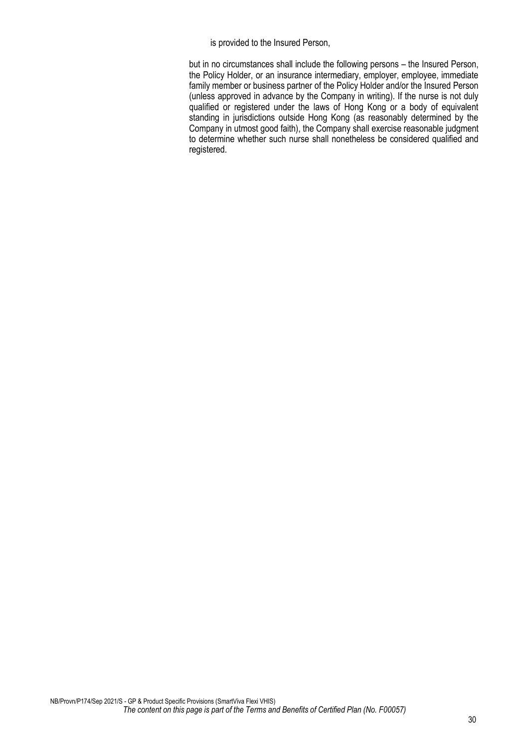is provided to the Insured Person,

but in no circumstances shall include the following persons – the Insured Person, the Policy Holder, or an insurance intermediary, employer, employee, immediate family member or business partner of the Policy Holder and/or the Insured Person (unless approved in advance by the Company in writing). If the nurse is not duly qualified or registered under the laws of Hong Kong or a body of equivalent standing in jurisdictions outside Hong Kong (as reasonably determined by the Company in utmost good faith), the Company shall exercise reasonable judgment to determine whether such nurse shall nonetheless be considered qualified and registered.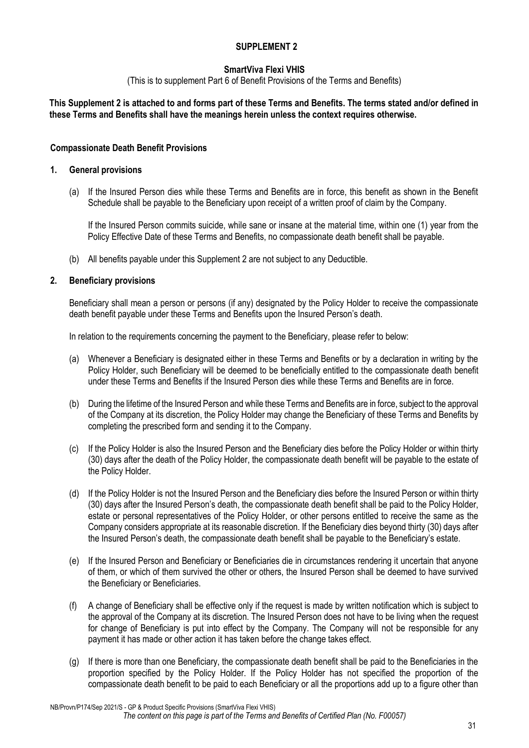# **SmartViva Flexi VHIS**

(This is to supplement Part 6 of Benefit Provisions of the Terms and Benefits)

## **This Supplement 2 is attached to and forms part of these Terms and Benefits. The terms stated and/or defined in these Terms and Benefits shall have the meanings herein unless the context requires otherwise.**

## **Compassionate Death Benefit Provisions**

#### **1. General provisions**

(a) If the Insured Person dies while these Terms and Benefits are in force, this benefit as shown in the Benefit Schedule shall be payable to the Beneficiary upon receipt of a written proof of claim by the Company.

If the Insured Person commits suicide, while sane or insane at the material time, within one (1) year from the Policy Effective Date of these Terms and Benefits, no compassionate death benefit shall be payable.

(b) All benefits payable under this Supplement 2 are not subject to any Deductible.

## **2. Beneficiary provisions**

Beneficiary shall mean a person or persons (if any) designated by the Policy Holder to receive the compassionate death benefit payable under these Terms and Benefits upon the Insured Person's death.

In relation to the requirements concerning the payment to the Beneficiary, please refer to below:

- (a) Whenever a Beneficiary is designated either in these Terms and Benefits or by a declaration in writing by the Policy Holder, such Beneficiary will be deemed to be beneficially entitled to the compassionate death benefit under these Terms and Benefits if the Insured Person dies while these Terms and Benefits are in force.
- (b) During the lifetime of the Insured Person and while these Terms and Benefits are in force, subject to the approval of the Company at its discretion, the Policy Holder may change the Beneficiary of these Terms and Benefits by completing the prescribed form and sending it to the Company.
- (c) If the Policy Holder is also the Insured Person and the Beneficiary dies before the Policy Holder or within thirty (30) days after the death of the Policy Holder, the compassionate death benefit will be payable to the estate of the Policy Holder.
- (d) If the Policy Holder is not the Insured Person and the Beneficiary dies before the Insured Person or within thirty (30) days after the Insured Person's death, the compassionate death benefit shall be paid to the Policy Holder, estate or personal representatives of the Policy Holder, or other persons entitled to receive the same as the Company considers appropriate at its reasonable discretion. If the Beneficiary dies beyond thirty (30) days after the Insured Person's death, the compassionate death benefit shall be payable to the Beneficiary's estate.
- (e) If the Insured Person and Beneficiary or Beneficiaries die in circumstances rendering it uncertain that anyone of them, or which of them survived the other or others, the Insured Person shall be deemed to have survived the Beneficiary or Beneficiaries.
- (f) A change of Beneficiary shall be effective only if the request is made by written notification which is subject to the approval of the Company at its discretion. The Insured Person does not have to be living when the request for change of Beneficiary is put into effect by the Company. The Company will not be responsible for any payment it has made or other action it has taken before the change takes effect.
- (g) If there is more than one Beneficiary, the compassionate death benefit shall be paid to the Beneficiaries in the proportion specified by the Policy Holder. If the Policy Holder has not specified the proportion of the compassionate death benefit to be paid to each Beneficiary or all the proportions add up to a figure other than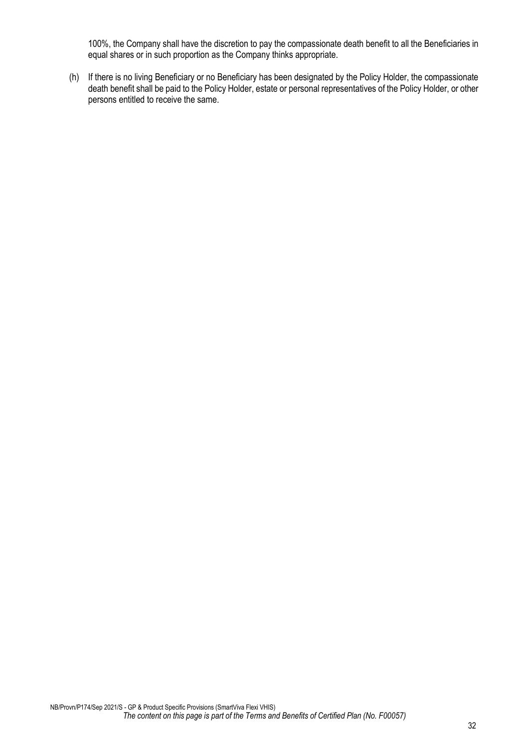100%, the Company shall have the discretion to pay the compassionate death benefit to all the Beneficiaries in equal shares or in such proportion as the Company thinks appropriate.

(h) If there is no living Beneficiary or no Beneficiary has been designated by the Policy Holder, the compassionate death benefit shall be paid to the Policy Holder, estate or personal representatives of the Policy Holder, or other persons entitled to receive the same.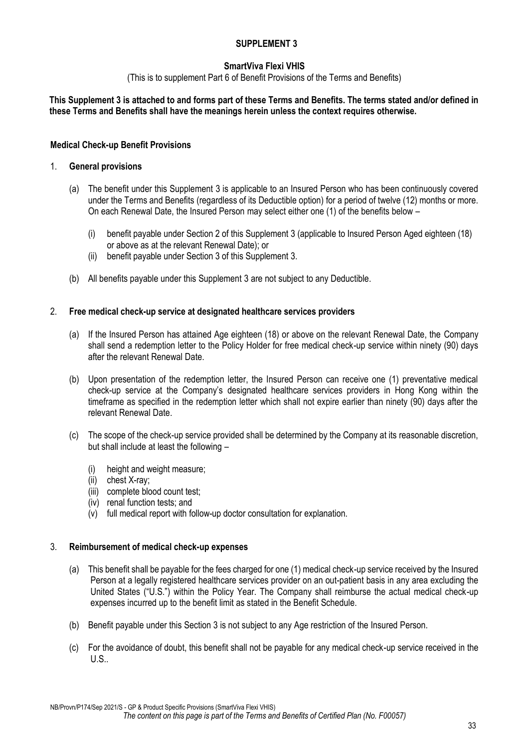# **SmartViva Flexi VHIS**

(This is to supplement Part 6 of Benefit Provisions of the Terms and Benefits)

# **This Supplement 3 is attached to and forms part of these Terms and Benefits. The terms stated and/or defined in these Terms and Benefits shall have the meanings herein unless the context requires otherwise.**

## **Medical Check-up Benefit Provisions**

#### 1. **General provisions**

- (a) The benefit under this Supplement 3 is applicable to an Insured Person who has been continuously covered under the Terms and Benefits (regardless of its Deductible option) for a period of twelve (12) months or more. On each Renewal Date, the Insured Person may select either one (1) of the benefits below –
	- (i) benefit payable under Section 2 of this Supplement 3 (applicable to Insured Person Aged eighteen (18) or above as at the relevant Renewal Date); or
	- (ii) benefit payable under Section 3 of this Supplement 3.
- (b) All benefits payable under this Supplement 3 are not subject to any Deductible.

## 2. **Free medical check-up service at designated healthcare services providers**

- (a) If the Insured Person has attained Age eighteen (18) or above on the relevant Renewal Date, the Company shall send a redemption letter to the Policy Holder for free medical check-up service within ninety (90) days after the relevant Renewal Date.
- (b) Upon presentation of the redemption letter, the Insured Person can receive one (1) preventative medical check-up service at the Company's designated healthcare services providers in Hong Kong within the timeframe as specified in the redemption letter which shall not expire earlier than ninety (90) days after the relevant Renewal Date.
- (c) The scope of the check-up service provided shall be determined by the Company at its reasonable discretion, but shall include at least the following –
	- (i) height and weight measure;
	- (ii) chest X-ray;
	- (iii) complete blood count test;
	- (iv) renal function tests; and
	- (v) full medical report with follow-up doctor consultation for explanation.

#### 3. **Reimbursement of medical check-up expenses**

- (a) This benefit shall be payable for the fees charged for one (1) medical check-up service received by the Insured Person at a legally registered healthcare services provider on an out-patient basis in any area excluding the United States ("U.S.") within the Policy Year. The Company shall reimburse the actual medical check-up expenses incurred up to the benefit limit as stated in the Benefit Schedule.
- (b) Benefit payable under this Section 3 is not subject to any Age restriction of the Insured Person.
- (c) For the avoidance of doubt, this benefit shall not be payable for any medical check-up service received in the  $U.S.$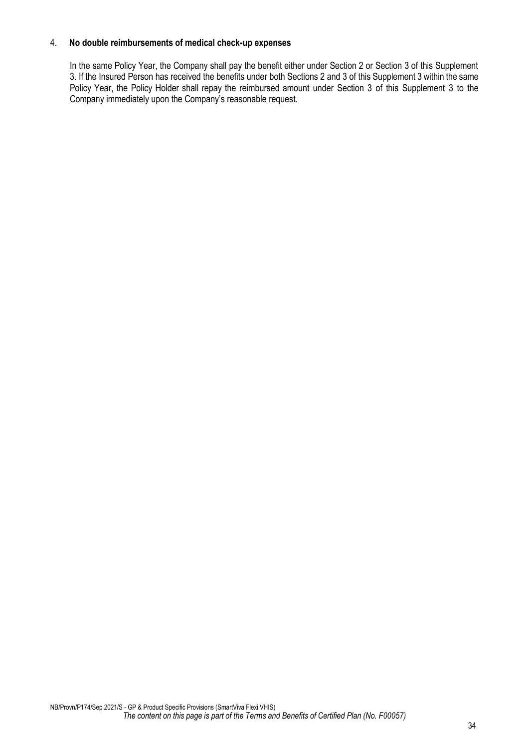## 4. **No double reimbursements of medical check-up expenses**

In the same Policy Year, the Company shall pay the benefit either under Section 2 or Section 3 of this Supplement 3. If the Insured Person has received the benefits under both Sections 2 and 3 of this Supplement 3 within the same Policy Year, the Policy Holder shall repay the reimbursed amount under Section 3 of this Supplement 3 to the Company immediately upon the Company's reasonable request.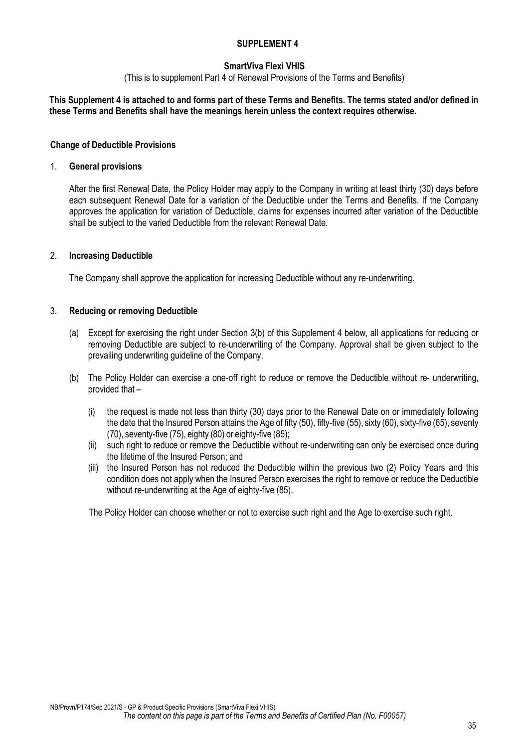## **SmartViva Flexi VHIS**

(This is to supplement Part 4 of Renewal Provisions of the Terms and Benefits)

#### **This Supplement 4 is attached to and forms part of these Terms and Benefits. The terms stated and/or defined in these Terms and Benefits shall have the meanings herein unless the context requires otherwise.**

#### **Change of Deductible Provisions**

#### 1. **General provisions**

After the first Renewal Date, the Policy Holder may apply to the Company in writing at least thirty (30) days before each subsequent Renewal Date for a variation of the Deductible under the Terms and Benefits. If the Company approves the application for variation of Deductible, claims for expenses incurred after variation of the Deductible shall be subject to the varied Deductible from the relevant Renewal Date.

#### 2. **Increasing Deductible**

The Company shall approve the application for increasing Deductible without any re-underwriting.

#### 3. **Reducing or removing Deductible**

- (a) Except for exercising the right under Section 3(b) of this Supplement 4 below, all applications for reducing or removing Deductible are subject to re-underwriting of the Company. Approval shall be given subject to the prevailing underwriting guideline of the Company.
- (b) The Policy Holder can exercise a one-off right to reduce or remove the Deductible without re- underwriting, provided that –
	- (i) the request is made not less than thirty (30) days prior to the Renewal Date on or immediately following the date that the Insured Person attains the Age of fifty (50), fifty-five (55), sixty (60), sixty-five (65), seventy (70), seventy-five (75), eighty (80) or eighty-five (85);
	- (ii) such right to reduce or remove the Deductible without re-underwriting can only be exercised once during the lifetime of the Insured Person; and
	- (iii) the Insured Person has not reduced the Deductible within the previous two (2) Policy Years and this condition does not apply when the Insured Person exercises the right to remove or reduce the Deductible without re-underwriting at the Age of eighty-five (85).

The Policy Holder can choose whether or not to exercise such right and the Age to exercise such right.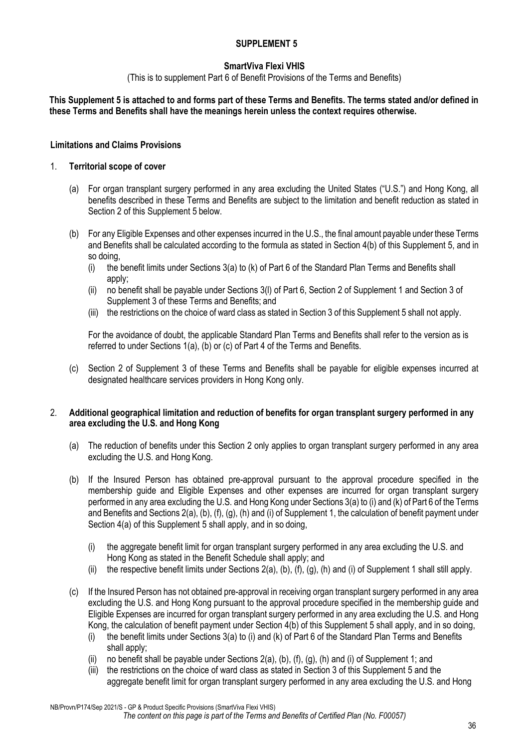# **SmartViva Flexi VHIS**

(This is to supplement Part 6 of Benefit Provisions of the Terms and Benefits)

# **This Supplement 5 is attached to and forms part of these Terms and Benefits. The terms stated and/or defined in these Terms and Benefits shall have the meanings herein unless the context requires otherwise.**

# **Limitations and Claims Provisions**

## 1. **Territorial scope of cover**

- (a) For organ transplant surgery performed in any area excluding the United States ("U.S.") and Hong Kong, all benefits described in these Terms and Benefits are subject to the limitation and benefit reduction as stated in Section 2 of this Supplement 5 below.
- (b) For any Eligible Expenses and other expenses incurred in the U.S., the final amount payable under these Terms and Benefits shall be calculated according to the formula as stated in Section 4(b) of this Supplement 5, and in so doing,
	- (i) the benefit limits under Sections 3(a) to (k) of Part 6 of the Standard Plan Terms and Benefits shall apply;
	- (ii) no benefit shall be payable under Sections 3(l) of Part 6, Section 2 of Supplement 1 and Section 3 of Supplement 3 of these Terms and Benefits; and
	- (iii) the restrictions on the choice of ward class as stated in Section 3 of this Supplement 5 shall not apply.

For the avoidance of doubt, the applicable Standard Plan Terms and Benefits shall refer to the version as is referred to under Sections 1(a), (b) or (c) of Part 4 of the Terms and Benefits.

(c) Section 2 of Supplement 3 of these Terms and Benefits shall be payable for eligible expenses incurred at designated healthcare services providers in Hong Kong only.

## 2. **Additional geographical limitation and reduction of benefits for organ transplant surgery performed in any area excluding the U.S. and Hong Kong**

- (a) The reduction of benefits under this Section 2 only applies to organ transplant surgery performed in any area excluding the U.S. and Hong Kong.
- (b) If the Insured Person has obtained pre-approval pursuant to the approval procedure specified in the membership guide and Eligible Expenses and other expenses are incurred for organ transplant surgery performed in any area excluding the U.S. and Hong Kong under Sections 3(a) to (i) and (k) of Part 6 of the Terms and Benefits and Sections 2(a), (b), (f), (g), (h) and (i) of Supplement 1, the calculation of benefit payment under Section 4(a) of this Supplement 5 shall apply, and in so doing,
	- (i) the aggregate benefit limit for organ transplant surgery performed in any area excluding the U.S. and Hong Kong as stated in the Benefit Schedule shall apply; and
	- (ii) the respective benefit limits under Sections 2(a), (b), (f), (g), (h) and (i) of Supplement 1 shall still apply.
- (c) If the Insured Person has not obtained pre-approval in receiving organ transplant surgery performed in any area excluding the U.S. and Hong Kong pursuant to the approval procedure specified in the membership guide and Eligible Expenses are incurred for organ transplant surgery performed in any area excluding the U.S. and Hong Kong, the calculation of benefit payment under Section 4(b) of this Supplement 5 shall apply, and in so doing,
	- (i) the benefit limits under Sections 3(a) to (i) and (k) of Part 6 of the Standard Plan Terms and Benefits shall apply;
	- (ii) no benefit shall be payable under Sections  $2(a)$ , (b), (f), (g), (h) and (i) of Supplement 1; and
	- (iii) the restrictions on the choice of ward class as stated in Section 3 of this Supplement 5 and the aggregate benefit limit for organ transplant surgery performed in any area excluding the U.S. and Hong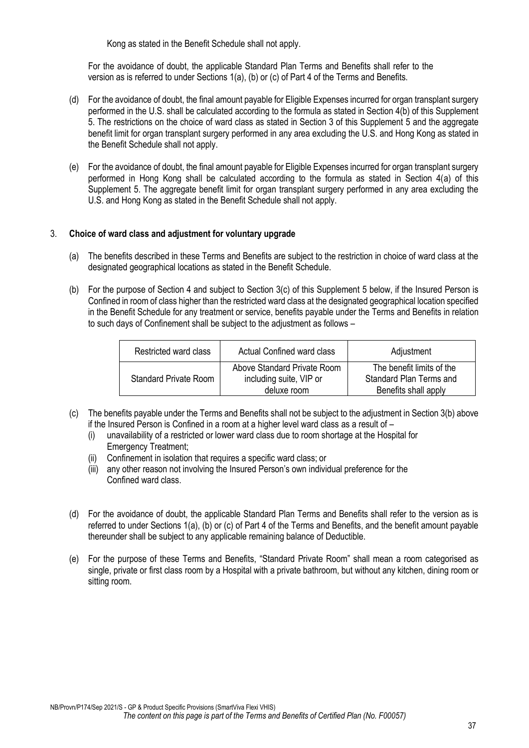Kong as stated in the Benefit Schedule shall not apply.

For the avoidance of doubt, the applicable Standard Plan Terms and Benefits shall refer to the version as is referred to under Sections 1(a), (b) or (c) of Part 4 of the Terms and Benefits.

- (d) For the avoidance of doubt, the final amount payable for Eligible Expenses incurred for organ transplant surgery performed in the U.S. shall be calculated according to the formula as stated in Section 4(b) of this Supplement 5. The restrictions on the choice of ward class as stated in Section 3 of this Supplement 5 and the aggregate benefit limit for organ transplant surgery performed in any area excluding the U.S. and Hong Kong as stated in the Benefit Schedule shall not apply.
- (e) For the avoidance of doubt, the final amount payable for Eligible Expenses incurred for organ transplant surgery performed in Hong Kong shall be calculated according to the formula as stated in Section 4(a) of this Supplement 5. The aggregate benefit limit for organ transplant surgery performed in any area excluding the U.S. and Hong Kong as stated in the Benefit Schedule shall not apply.

## 3. **Choice of ward class and adjustment for voluntary upgrade**

- (a) The benefits described in these Terms and Benefits are subject to the restriction in choice of ward class at the designated geographical locations as stated in the Benefit Schedule.
- (b) For the purpose of Section 4 and subject to Section 3(c) of this Supplement 5 below, if the Insured Person is Confined in room of class higher than the restricted ward class at the designated geographical location specified in the Benefit Schedule for any treatment or service, benefits payable under the Terms and Benefits in relation to such days of Confinement shall be subject to the adjustment as follows –

| Restricted ward class        | <b>Actual Confined ward class</b>                                     | Adjustment                                                                   |
|------------------------------|-----------------------------------------------------------------------|------------------------------------------------------------------------------|
| <b>Standard Private Room</b> | Above Standard Private Room<br>including suite, VIP or<br>deluxe room | The benefit limits of the<br>Standard Plan Terms and<br>Benefits shall apply |

- (c) The benefits payable under the Terms and Benefits shall not be subject to the adjustment in Section 3(b) above if the Insured Person is Confined in a room at a higher level ward class as a result of –
	- (i) unavailability of a restricted or lower ward class due to room shortage at the Hospital for Emergency Treatment;
	- Confinement in isolation that requires a specific ward class; or
	- (iii) any other reason not involving the Insured Person's own individual preference for the Confined ward class.
- (d) For the avoidance of doubt, the applicable Standard Plan Terms and Benefits shall refer to the version as is referred to under Sections 1(a), (b) or (c) of Part 4 of the Terms and Benefits, and the benefit amount payable thereunder shall be subject to any applicable remaining balance of Deductible.
- (e) For the purpose of these Terms and Benefits, "Standard Private Room" shall mean a room categorised as single, private or first class room by a Hospital with a private bathroom, but without any kitchen, dining room or sitting room.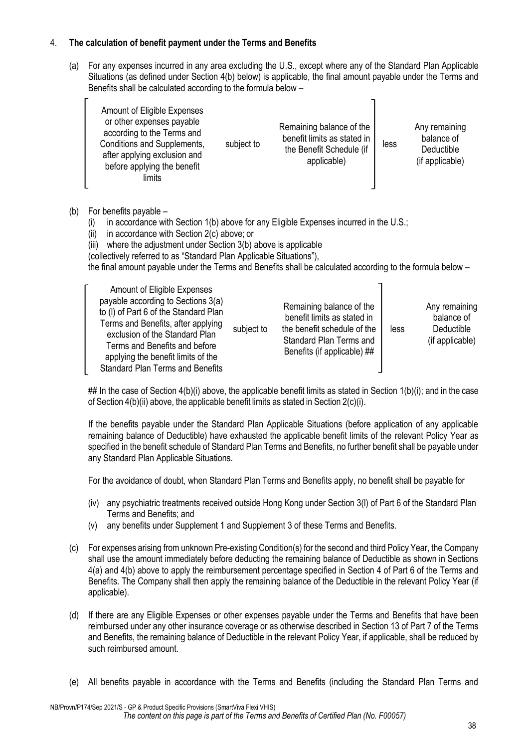# 4. **The calculation of benefit payment under the Terms and Benefits**

(a) For any expenses incurred in any area excluding the U.S., except where any of the Standard Plan Applicable Situations (as defined under Section 4(b) below) is applicable, the final amount payable under the Terms and Benefits shall be calculated according to the formula below –

| Amount of Eligible Expenses<br>or other expenses payable<br>according to the Terms and<br>Conditions and Supplements,<br>after applying exclusion and<br>before applying the benefit<br>limits | subject to | Remaining balance of the<br>benefit limits as stated in<br>the Benefit Schedule (if<br>applicable) | less | Any remaining<br>balance of<br>Deductible<br>(if applicable) |
|------------------------------------------------------------------------------------------------------------------------------------------------------------------------------------------------|------------|----------------------------------------------------------------------------------------------------|------|--------------------------------------------------------------|
|------------------------------------------------------------------------------------------------------------------------------------------------------------------------------------------------|------------|----------------------------------------------------------------------------------------------------|------|--------------------------------------------------------------|

- (b) For benefits payable
	- (i) in accordance with Section 1(b) above for any Eligible Expenses incurred in the U.S.;
	- (ii) in accordance with Section 2(c) above; or
	- (iii) where the adjustment under Section 3(b) above is applicable
	- (collectively referred to as "Standard Plan Applicable Situations"),

the final amount payable under the Terms and Benefits shall be calculated according to the formula below –

| Amount of Eligible Expenses<br>payable according to Sections 3(a)<br>to (I) of Part 6 of the Standard Plan<br>Terms and Benefits, after applying<br>exclusion of the Standard Plan<br>Terms and Benefits and before<br>applying the benefit limits of the<br><b>Standard Plan Terms and Benefits</b> | subject to | Remaining balance of the<br>benefit limits as stated in<br>the benefit schedule of the<br>Standard Plan Terms and<br>Benefits (if applicable) ## | less | Any remaining<br>balance of<br>Deductible<br>(if applicable) |
|------------------------------------------------------------------------------------------------------------------------------------------------------------------------------------------------------------------------------------------------------------------------------------------------------|------------|--------------------------------------------------------------------------------------------------------------------------------------------------|------|--------------------------------------------------------------|
|------------------------------------------------------------------------------------------------------------------------------------------------------------------------------------------------------------------------------------------------------------------------------------------------------|------------|--------------------------------------------------------------------------------------------------------------------------------------------------|------|--------------------------------------------------------------|

## In the case of Section  $4(b)(i)$  above, the applicable benefit limits as stated in Section  $1(b)(i)$ ; and in the case of Section 4(b)(ii) above, the applicable benefit limits as stated in Section 2(c)(i).

If the benefits payable under the Standard Plan Applicable Situations (before application of any applicable remaining balance of Deductible) have exhausted the applicable benefit limits of the relevant Policy Year as specified in the benefit schedule of Standard Plan Terms and Benefits, no further benefit shall be payable under any Standard Plan Applicable Situations.

For the avoidance of doubt, when Standard Plan Terms and Benefits apply, no benefit shall be payable for

- (iv) any psychiatric treatments received outside Hong Kong under Section 3(l) of Part 6 of the Standard Plan Terms and Benefits; and
- (v) any benefits under Supplement 1 and Supplement 3 of these Terms and Benefits.
- (c) For expenses arising from unknown Pre-existing Condition(s) for the second and third Policy Year, the Company shall use the amount immediately before deducting the remaining balance of Deductible as shown in Sections 4(a) and 4(b) above to apply the reimbursement percentage specified in Section 4 of Part 6 of the Terms and Benefits. The Company shall then apply the remaining balance of the Deductible in the relevant Policy Year (if applicable).
- (d) If there are any Eligible Expenses or other expenses payable under the Terms and Benefits that have been reimbursed under any other insurance coverage or as otherwise described in Section 13 of Part 7 of the Terms and Benefits, the remaining balance of Deductible in the relevant Policy Year, if applicable, shall be reduced by such reimbursed amount.
- (e) All benefits payable in accordance with the Terms and Benefits (including the Standard Plan Terms and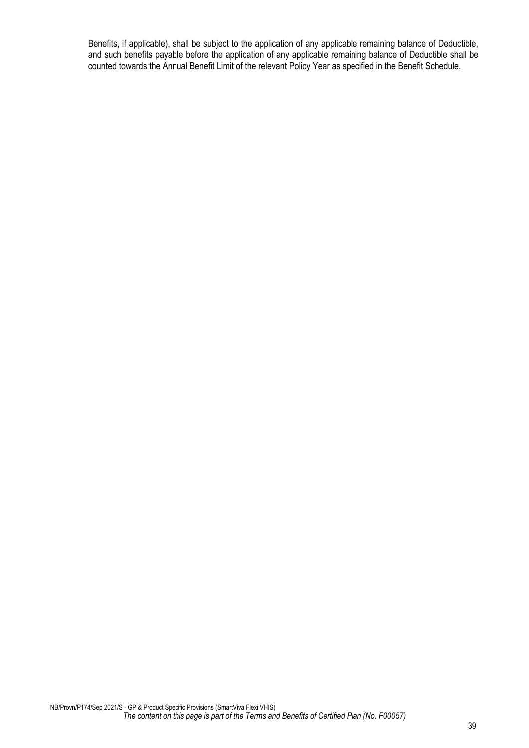Benefits, if applicable), shall be subject to the application of any applicable remaining balance of Deductible, and such benefits payable before the application of any applicable remaining balance of Deductible shall be counted towards the Annual Benefit Limit of the relevant Policy Year as specified in the Benefit Schedule.